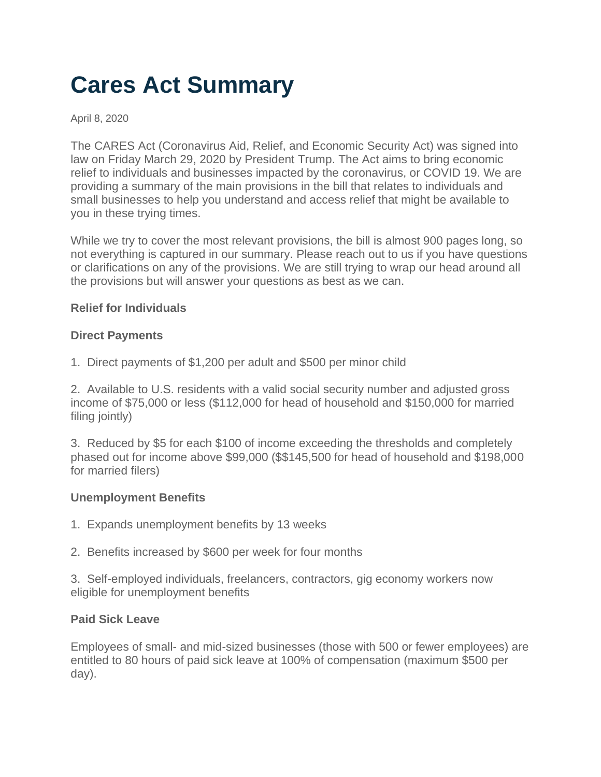# **Cares Act Summary**

April 8, 2020

The CARES Act (Coronavirus Aid, Relief, and Economic Security Act) was signed into law on Friday March 29, 2020 by President Trump. The Act aims to bring economic relief to individuals and businesses impacted by the coronavirus, or COVID 19. We are providing a summary of the main provisions in the bill that relates to individuals and small businesses to help you understand and access relief that might be available to you in these trying times.

While we try to cover the most relevant provisions, the bill is almost 900 pages long, so not everything is captured in our summary. Please reach out to us if you have questions or clarifications on any of the provisions. We are still trying to wrap our head around all the provisions but will answer your questions as best as we can.

#### **Relief for Individuals**

#### **Direct Payments**

1. Direct payments of \$1,200 per adult and \$500 per minor child

2. Available to U.S. residents with a valid social security number and adjusted gross income of \$75,000 or less (\$112,000 for head of household and \$150,000 for married filing jointly)

3. Reduced by \$5 for each \$100 of income exceeding the thresholds and completely phased out for income above \$99,000 (\$\$145,500 for head of household and \$198,000 for married filers)

# **Unemployment Benefits**

- 1. Expands unemployment benefits by 13 weeks
- 2. Benefits increased by \$600 per week for four months

3. Self-employed individuals, freelancers, contractors, gig economy workers now eligible for unemployment benefits

# **Paid Sick Leave**

Employees of small- and mid-sized businesses (those with 500 or fewer employees) are entitled to 80 hours of paid sick leave at 100% of compensation (maximum \$500 per day).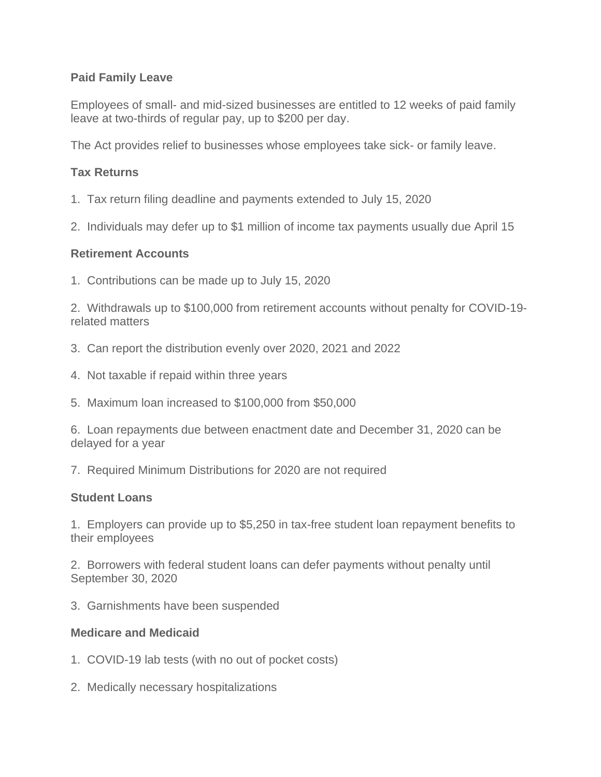# **Paid Family Leave**

Employees of small- and mid-sized businesses are entitled to 12 weeks of paid family leave at two-thirds of regular pay, up to \$200 per day.

The Act provides relief to businesses whose employees take sick- or family leave.

# **Tax Returns**

- 1. Tax return filing deadline and payments extended to July 15, 2020
- 2. Individuals may defer up to \$1 million of income tax payments usually due April 15

# **Retirement Accounts**

1. Contributions can be made up to July 15, 2020

2. Withdrawals up to \$100,000 from retirement accounts without penalty for COVID-19 related matters

- 3. Can report the distribution evenly over 2020, 2021 and 2022
- 4. Not taxable if repaid within three years
- 5. Maximum loan increased to \$100,000 from \$50,000

6. Loan repayments due between enactment date and December 31, 2020 can be delayed for a year

7. Required Minimum Distributions for 2020 are not required

# **Student Loans**

1. Employers can provide up to \$5,250 in tax-free student loan repayment benefits to their employees

2. Borrowers with federal student loans can defer payments without penalty until September 30, 2020

3. Garnishments have been suspended

# **Medicare and Medicaid**

- 1. COVID-19 lab tests (with no out of pocket costs)
- 2. Medically necessary hospitalizations